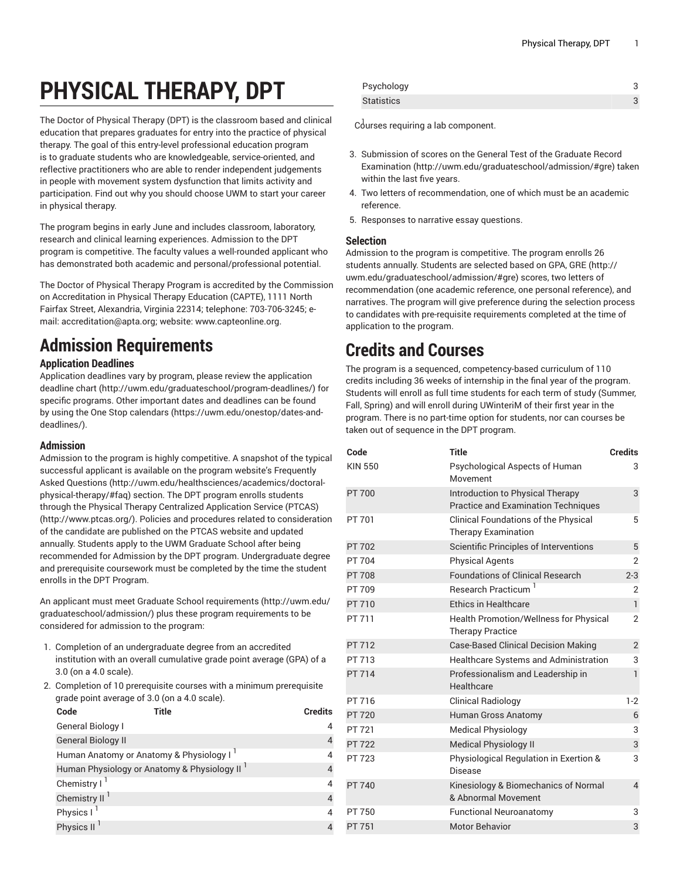# **PHYSICAL THERAPY, DPT**

The Doctor of Physical Therapy (DPT) is the classroom based and clinical education that prepares graduates for entry into the practice of physical therapy. The goal of this entry-level professional education program is to graduate students who are knowledgeable, service-oriented, and reflective practitioners who are able to render independent judgements in people with movement system dysfunction that limits activity and participation. Find out why you should choose UWM to start your career in physical therapy.

The program begins in early June and includes classroom, laboratory, research and clinical learning experiences. Admission to the DPT program is competitive. The faculty values a well-rounded applicant who has demonstrated both academic and personal/professional potential.

The Doctor of Physical Therapy Program is accredited by the Commission on Accreditation in Physical Therapy Education (CAPTE), 1111 North Fairfax Street, Alexandria, Virginia 22314; telephone: 703-706-3245; email: accreditation@apta.org; website: www.capteonline.org.

### **Admission Requirements**

#### **Application Deadlines**

Application deadlines vary by program, please review the [application](http://uwm.edu/graduateschool/program-deadlines/) [deadline](http://uwm.edu/graduateschool/program-deadlines/) chart ([http://uwm.edu/graduateschool/program-deadlines/\)](http://uwm.edu/graduateschool/program-deadlines/) for specific programs. Other important dates and deadlines can be found by using the [One Stop calendars](https://uwm.edu/onestop/dates-and-deadlines/) ([https://uwm.edu/onestop/dates-and](https://uwm.edu/onestop/dates-and-deadlines/)[deadlines/\)](https://uwm.edu/onestop/dates-and-deadlines/).

#### **Admission**

Admission to the program is highly competitive. A snapshot of the typical successful applicant is available on the program website's [Frequently](http://uwm.edu/healthsciences/academics/doctoral-physical-therapy/#faq) Asked [Questions \(http://uwm.edu/healthsciences/academics/doctoral](http://uwm.edu/healthsciences/academics/doctoral-physical-therapy/#faq)[physical-therapy/#faq](http://uwm.edu/healthsciences/academics/doctoral-physical-therapy/#faq)) section. The DPT program enrolls students through the Physical Therapy Centralized [Application](http://www.ptcas.org/) Service (PTCAS) (<http://www.ptcas.org/>). Policies and procedures related to consideration of the candidate are published on the PTCAS website and updated annually. Students apply to the UWM Graduate School after being recommended for Admission by the DPT program. Undergraduate degree and prerequisite coursework must be completed by the time the student enrolls in the DPT Program.

An applicant must meet Graduate School [requirements](http://uwm.edu/graduateschool/admission/) ([http://uwm.edu/](http://uwm.edu/graduateschool/admission/) [graduateschool/admission/](http://uwm.edu/graduateschool/admission/)) plus these program requirements to be considered for admission to the program:

- 1. Completion of an undergraduate degree from an accredited institution with an overall cumulative grade point average (GPA) of a 3.0 (on a 4.0 scale).
- 2. Completion of 10 prerequisite courses with a minimum prerequisite grade point average of 3.0 (on a 4.0 scale).

| Code                                    | Title                                       | <b>Credits</b> |
|-----------------------------------------|---------------------------------------------|----------------|
| General Biology I                       |                                             |                |
| <b>General Biology II</b>               |                                             |                |
| Human Anatomy or Anatomy & Physiology I |                                             |                |
|                                         | Human Physiology or Anatomy & Physiology II |                |
| Chemistry I                             |                                             |                |
| Chemistry II <sup>1</sup>               |                                             |                |
| Physics $1^1$                           |                                             |                |
| Physics II <sup>I</sup>                 |                                             |                |

| Psychology        |  |
|-------------------|--|
| <b>Statistics</b> |  |

 $_{\rm{C}$ durses requiring a lab component.

- 3. Submission of scores on the General Test of the [Graduate](http://uwm.edu/graduateschool/admission/#gre) Record [Examination](http://uwm.edu/graduateschool/admission/#gre) (<http://uwm.edu/graduateschool/admission/#gre>) taken within the last five years.
- 4. Two letters of recommendation, one of which must be an academic reference.
- 5. Responses to narrative essay questions.

#### **Selection**

Admission to the program is competitive. The program enrolls 26 students annually. Students are selected based on GPA, [GRE](http://uwm.edu/graduateschool/admission/#gre) ([http://](http://uwm.edu/graduateschool/admission/#gre) [uwm.edu/graduateschool/admission/#gre](http://uwm.edu/graduateschool/admission/#gre)) scores, two letters of recommendation (one academic reference, one personal reference), and narratives. The program will give preference during the selection process to candidates with pre-requisite requirements completed at the time of application to the program.

### **Credits and Courses**

The program is a sequenced, competency-based curriculum of 110 credits including 36 weeks of internship in the final year of the program. Students will enroll as full time students for each term of study (Summer, Fall, Spring) and will enroll during UWinteriM of their first year in the program. There is no part-time option for students, nor can courses be taken out of sequence in the DPT program.

| Code           | <b>Title</b>                                                                   | <b>Credits</b> |
|----------------|--------------------------------------------------------------------------------|----------------|
| <b>KIN 550</b> | Psychological Aspects of Human<br>Movement                                     | 3              |
| PT 700         | Introduction to Physical Therapy<br><b>Practice and Examination Techniques</b> | 3              |
| PT 701         | <b>Clinical Foundations of the Physical</b><br><b>Therapy Examination</b>      | 5              |
| PT 702         | Scientific Principles of Interventions                                         | 5              |
| PT 704         | <b>Physical Agents</b>                                                         | $\overline{2}$ |
| PT 708         | <b>Foundations of Clinical Research</b>                                        | $2 - 3$        |
| PT 709         | Research Practicum <sup>1</sup>                                                | 2              |
| PT 710         | <b>Ethics in Healthcare</b>                                                    | $\mathbf{1}$   |
| PT 711         | Health Promotion/Wellness for Physical<br><b>Therapy Practice</b>              | 2              |
| PT 712         | <b>Case-Based Clinical Decision Making</b>                                     | $\overline{2}$ |
| PT 713         | <b>Healthcare Systems and Administration</b>                                   | 3              |
| PT 714         | Professionalism and Leadership in<br>Healthcare                                | $\mathbf{1}$   |
| PT 716         | <b>Clinical Radiology</b>                                                      | $1-2$          |
| PT 720         | Human Gross Anatomy                                                            | 6              |
| PT 721         | <b>Medical Physiology</b>                                                      | 3              |
| <b>PT 722</b>  | <b>Medical Physiology II</b>                                                   | 3              |
| PT 723         | Physiological Regulation in Exertion &<br>Disease                              | 3              |
| PT 740         | Kinesiology & Biomechanics of Normal<br>& Abnormal Movement                    | $\overline{4}$ |
| PT 750         | <b>Functional Neuroanatomy</b>                                                 | 3              |
| PT 751         | <b>Motor Behavior</b>                                                          | 3              |
|                |                                                                                |                |